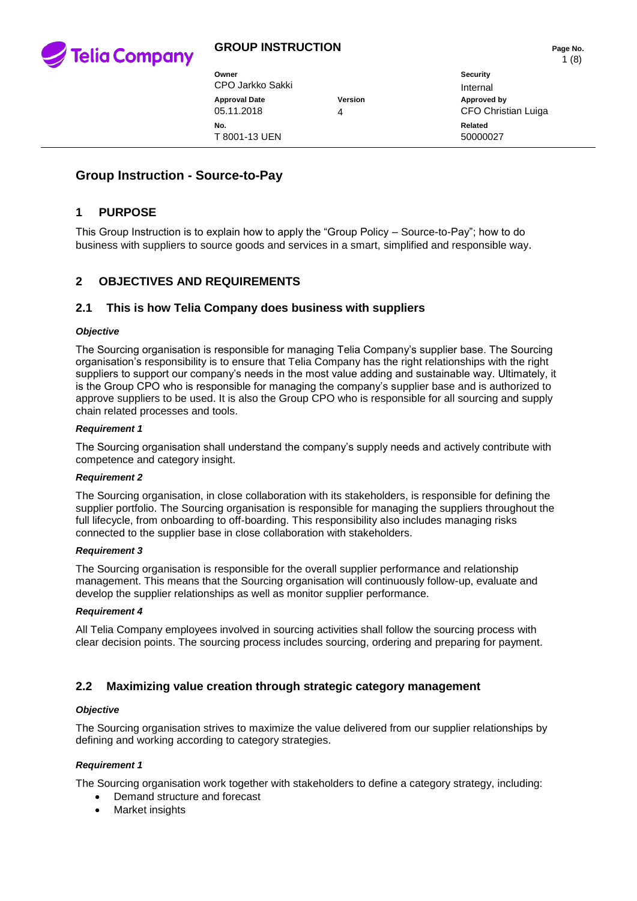

| Owner<br>CPO Jarkko Sakki          |                | Security<br>Internal               |
|------------------------------------|----------------|------------------------------------|
| <b>Approval Date</b><br>05.11.2018 | <b>Version</b> | Approved by<br>CFO Christian Luiga |
| No.<br>T 8001-13 UEN               |                | Related<br>50000027                |

# **Group Instruction - Source-to-Pay**

## **1 PURPOSE**

This Group Instruction is to explain how to apply the "Group Policy – Source-to-Pay"; how to do business with suppliers to source goods and services in a smart, simplified and responsible way.

## **2 OBJECTIVES AND REQUIREMENTS**

## **2.1 This is how Telia Company does business with suppliers**

### *Objective*

The Sourcing organisation is responsible for managing Telia Company's supplier base. The Sourcing organisation's responsibility is to ensure that Telia Company has the right relationships with the right suppliers to support our company's needs in the most value adding and sustainable way. Ultimately, it is the Group CPO who is responsible for managing the company's supplier base and is authorized to approve suppliers to be used. It is also the Group CPO who is responsible for all sourcing and supply chain related processes and tools.

#### *Requirement 1*

The Sourcing organisation shall understand the company's supply needs and actively contribute with competence and category insight.

#### *Requirement 2*

The Sourcing organisation, in close collaboration with its stakeholders, is responsible for defining the supplier portfolio. The Sourcing organisation is responsible for managing the suppliers throughout the full lifecycle, from onboarding to off-boarding. This responsibility also includes managing risks connected to the supplier base in close collaboration with stakeholders.

#### *Requirement 3*

The Sourcing organisation is responsible for the overall supplier performance and relationship management. This means that the Sourcing organisation will continuously follow-up, evaluate and develop the supplier relationships as well as monitor supplier performance.

#### *Requirement 4*

All Telia Company employees involved in sourcing activities shall follow the sourcing process with clear decision points. The sourcing process includes sourcing, ordering and preparing for payment.

## **2.2 Maximizing value creation through strategic category management**

### *Objective*

The Sourcing organisation strives to maximize the value delivered from our supplier relationships by defining and working according to category strategies.

### *Requirement 1*

The Sourcing organisation work together with stakeholders to define a category strategy, including:

- Demand structure and forecast
- Market insights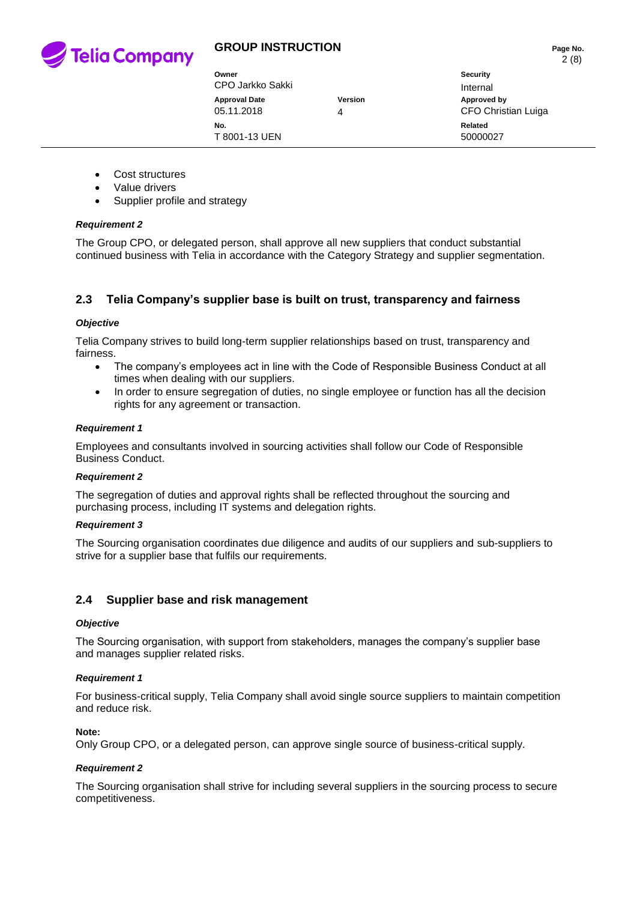

| Owner<br>CPO Jarkko Sakki          |                     | Security<br>Internal               |
|------------------------------------|---------------------|------------------------------------|
| <b>Approval Date</b><br>05.11.2018 | <b>Version</b><br>4 | Approved by<br>CFO Christian Luiga |
| No.<br>T 8001-13 UEN               |                     | Related<br>50000027                |

- Cost structures
- Value drivers
- Supplier profile and strategy

### *Requirement 2*

The Group CPO, or delegated person, shall approve all new suppliers that conduct substantial continued business with Telia in accordance with the Category Strategy and supplier segmentation.

## **2.3 Telia Company's supplier base is built on trust, transparency and fairness**

### *Objective*

Telia Company strives to build long-term supplier relationships based on trust, transparency and fairness.

- The company's employees act in line with the Code of Responsible Business Conduct at all times when dealing with our suppliers.
- In order to ensure segregation of duties, no single employee or function has all the decision rights for any agreement or transaction.

#### *Requirement 1*

Employees and consultants involved in sourcing activities shall follow our Code of Responsible Business Conduct.

### *Requirement 2*

The segregation of duties and approval rights shall be reflected throughout the sourcing and purchasing process, including IT systems and delegation rights.

### *Requirement 3*

The Sourcing organisation coordinates due diligence and audits of our suppliers and sub-suppliers to strive for a supplier base that fulfils our requirements.

## **2.4 Supplier base and risk management**

### *Objective*

The Sourcing organisation, with support from stakeholders, manages the company's supplier base and manages supplier related risks.

### *Requirement 1*

For business-critical supply, Telia Company shall avoid single source suppliers to maintain competition and reduce risk.

### **Note:**

Only Group CPO, or a delegated person, can approve single source of business-critical supply.

### *Requirement 2*

The Sourcing organisation shall strive for including several suppliers in the sourcing process to secure competitiveness.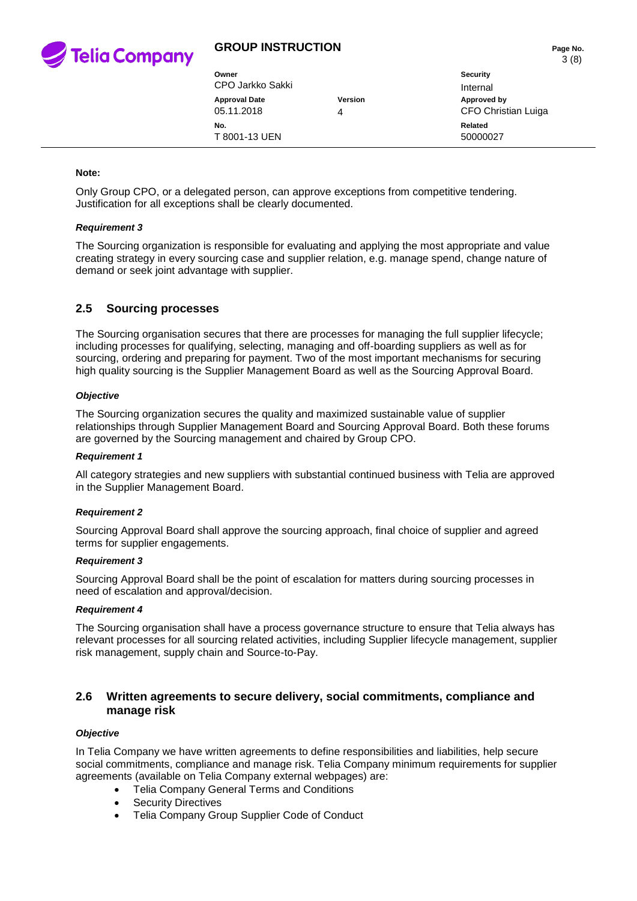

| Owner<br>CPO Jarkko Sakki          |              | Security<br>Internal               |
|------------------------------------|--------------|------------------------------------|
| <b>Approval Date</b><br>05.11.2018 | Version<br>4 | Approved by<br>CFO Christian Luiga |
| No.<br>T 8001-13 UEN               |              | Related<br>50000027                |

#### **Note:**

Only Group CPO, or a delegated person, can approve exceptions from competitive tendering. Justification for all exceptions shall be clearly documented.

#### *Requirement 3*

The Sourcing organization is responsible for evaluating and applying the most appropriate and value creating strategy in every sourcing case and supplier relation, e.g. manage spend, change nature of demand or seek joint advantage with supplier.

## **2.5 Sourcing processes**

The Sourcing organisation secures that there are processes for managing the full supplier lifecycle; including processes for qualifying, selecting, managing and off-boarding suppliers as well as for sourcing, ordering and preparing for payment. Two of the most important mechanisms for securing high quality sourcing is the Supplier Management Board as well as the Sourcing Approval Board.

#### *Objective*

The Sourcing organization secures the quality and maximized sustainable value of supplier relationships through Supplier Management Board and Sourcing Approval Board. Both these forums are governed by the Sourcing management and chaired by Group CPO.

#### *Requirement 1*

All category strategies and new suppliers with substantial continued business with Telia are approved in the Supplier Management Board.

### *Requirement 2*

Sourcing Approval Board shall approve the sourcing approach, final choice of supplier and agreed terms for supplier engagements.

### *Requirement 3*

Sourcing Approval Board shall be the point of escalation for matters during sourcing processes in need of escalation and approval/decision.

#### *Requirement 4*

The Sourcing organisation shall have a process governance structure to ensure that Telia always has relevant processes for all sourcing related activities, including Supplier lifecycle management, supplier risk management, supply chain and Source-to-Pay.

## **2.6 Written agreements to secure delivery, social commitments, compliance and manage risk**

### *Objective*

In Telia Company we have written agreements to define responsibilities and liabilities, help secure social commitments, compliance and manage risk. Telia Company minimum requirements for supplier agreements (available on Telia Company external webpages) are:

- Telia Company General Terms and Conditions
- Security Directives
- Telia Company Group Supplier Code of Conduct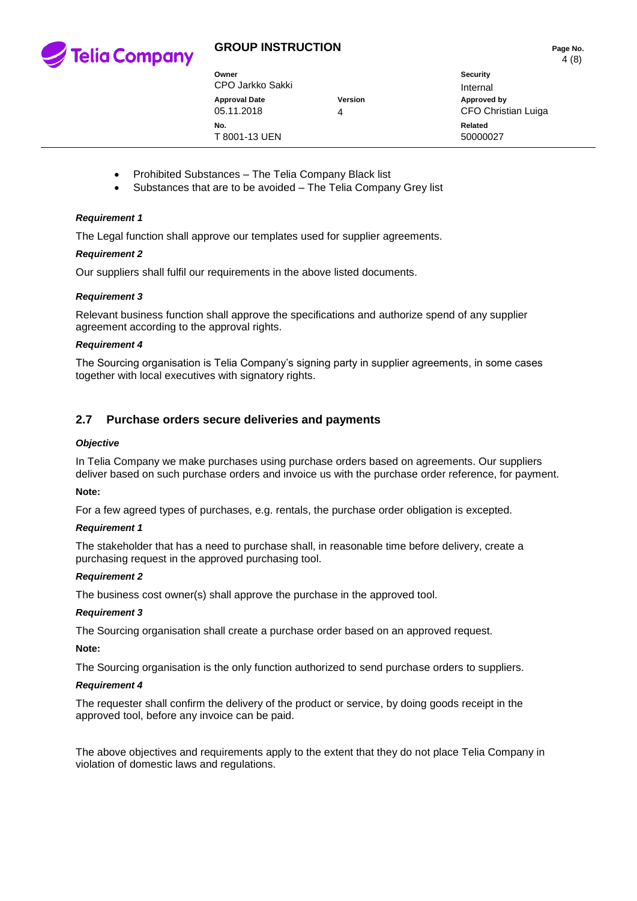

| Owner                              |              | Security                           |
|------------------------------------|--------------|------------------------------------|
| CPO Jarkko Sakki                   |              | Internal                           |
| <b>Approval Date</b><br>05.11.2018 | Version<br>4 | Approved by<br>CFO Christian Luiga |
| No.<br>T 8001-13 UEN               |              | Related<br>50000027                |

- Prohibited Substances The Telia Company Black list
- Substances that are to be avoided The Telia Company Grey list

#### *Requirement 1*

The Legal function shall approve our templates used for supplier agreements.

#### *Requirement 2*

Our suppliers shall fulfil our requirements in the above listed documents.

#### *Requirement 3*

Relevant business function shall approve the specifications and authorize spend of any supplier agreement according to the approval rights.

#### *Requirement 4*

The Sourcing organisation is Telia Company's signing party in supplier agreements, in some cases together with local executives with signatory rights.

## **2.7 Purchase orders secure deliveries and payments**

#### *Objective*

In Telia Company we make purchases using purchase orders based on agreements. Our suppliers deliver based on such purchase orders and invoice us with the purchase order reference, for payment.

#### **Note:**

For a few agreed types of purchases, e.g. rentals, the purchase order obligation is excepted.

#### *Requirement 1*

The stakeholder that has a need to purchase shall, in reasonable time before delivery, create a purchasing request in the approved purchasing tool.

#### *Requirement 2*

The business cost owner(s) shall approve the purchase in the approved tool.

#### *Requirement 3*

The Sourcing organisation shall create a purchase order based on an approved request.

#### **Note:**

The Sourcing organisation is the only function authorized to send purchase orders to suppliers.

#### *Requirement 4*

The requester shall confirm the delivery of the product or service, by doing goods receipt in the approved tool, before any invoice can be paid.

The above objectives and requirements apply to the extent that they do not place Telia Company in violation of domestic laws and regulations.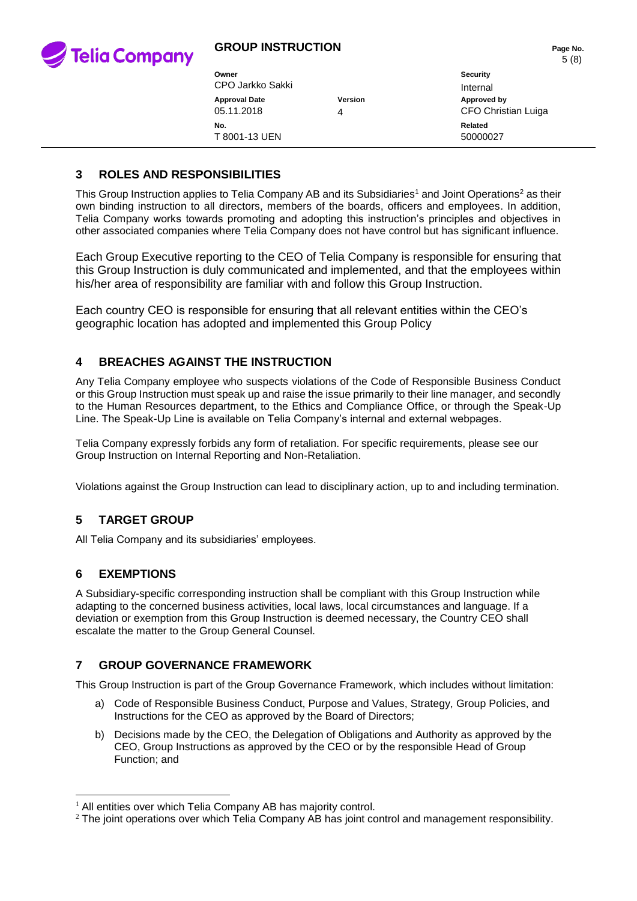

| Owner<br>CPO Jarkko Sakki          |                     | Security<br>Internal                      |
|------------------------------------|---------------------|-------------------------------------------|
| <b>Approval Date</b><br>05.11.2018 | <b>Version</b><br>4 | Approved by<br><b>CFO Christian Luiga</b> |
| No.<br>T 8001-13 UEN               |                     | Related<br>50000027                       |

# **3 ROLES AND RESPONSIBILITIES**

This Group Instruction applies to Telia Company AB and its Subsidiaries<sup>1</sup> and Joint Operations<sup>2</sup> as their own binding instruction to all directors, members of the boards, officers and employees. In addition, Telia Company works towards promoting and adopting this instruction's principles and objectives in other associated companies where Telia Company does not have control but has significant influence.

Each Group Executive reporting to the CEO of Telia Company is responsible for ensuring that this Group Instruction is duly communicated and implemented, and that the employees within his/her area of responsibility are familiar with and follow this Group Instruction.

Each country CEO is responsible for ensuring that all relevant entities within the CEO's geographic location has adopted and implemented this Group Policy

# **4 BREACHES AGAINST THE INSTRUCTION**

Any Telia Company employee who suspects violations of the Code of Responsible Business Conduct or this Group Instruction must speak up and raise the issue primarily to their line manager, and secondly to the Human Resources department, to the Ethics and Compliance Office, or through the Speak-Up Line. The Speak-Up Line is available on Telia Company's internal and external webpages.

Telia Company expressly forbids any form of retaliation. For specific requirements, please see our Group Instruction on Internal Reporting and Non-Retaliation.

Violations against the Group Instruction can lead to disciplinary action, up to and including termination.

# **5 TARGET GROUP**

All Telia Company and its subsidiaries' employees.

## **6 EXEMPTIONS**

-

A Subsidiary-specific corresponding instruction shall be compliant with this Group Instruction while adapting to the concerned business activities, local laws, local circumstances and language. If a deviation or exemption from this Group Instruction is deemed necessary, the Country CEO shall escalate the matter to the Group General Counsel.

## **7 GROUP GOVERNANCE FRAMEWORK**

This Group Instruction is part of the Group Governance Framework, which includes without limitation:

- a) Code of Responsible Business Conduct, Purpose and Values, Strategy, Group Policies, and Instructions for the CEO as approved by the Board of Directors;
- b) Decisions made by the CEO, the Delegation of Obligations and Authority as approved by the CEO, Group Instructions as approved by the CEO or by the responsible Head of Group Function; and

 $1$  All entities over which Telia Company AB has majority control.

<sup>&</sup>lt;sup>2</sup> The joint operations over which Telia Company AB has joint control and management responsibility.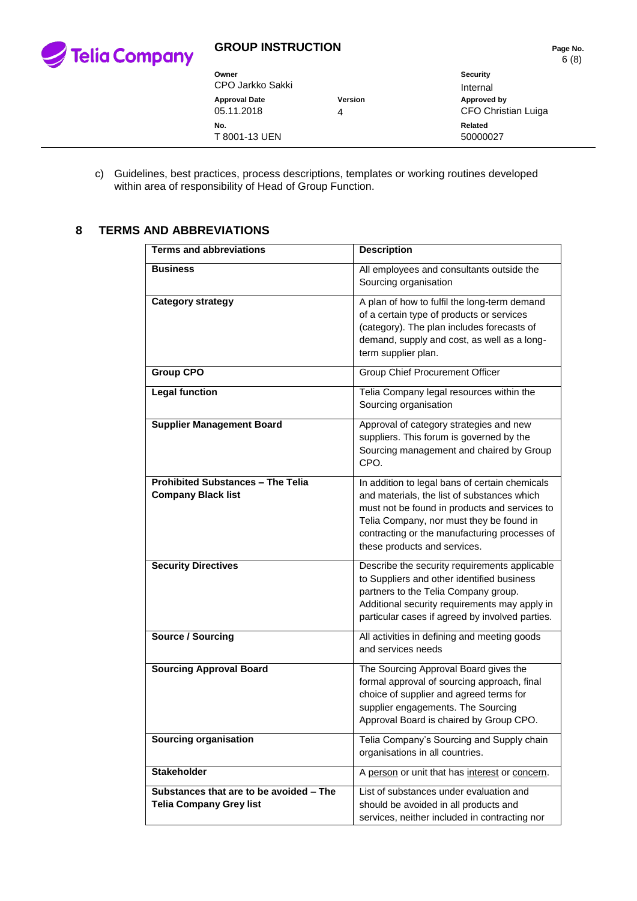

| Owner<br>CPO Jarkko Sakki          |              | Security<br>Internal                      |
|------------------------------------|--------------|-------------------------------------------|
| <b>Approval Date</b><br>05.11.2018 | Version<br>4 | Approved by<br><b>CFO Christian Luiga</b> |
| No.<br>T 8001-13 UEN               |              | Related<br>50000027                       |

c) Guidelines, best practices, process descriptions, templates or working routines developed within area of responsibility of Head of Group Function.

# **8 TERMS AND ABBREVIATIONS**

| <b>Terms and abbreviations</b>                                            | <b>Description</b>                                                                                                                                                                                                                                                          |
|---------------------------------------------------------------------------|-----------------------------------------------------------------------------------------------------------------------------------------------------------------------------------------------------------------------------------------------------------------------------|
| <b>Business</b>                                                           | All employees and consultants outside the<br>Sourcing organisation                                                                                                                                                                                                          |
| <b>Category strategy</b>                                                  | A plan of how to fulfil the long-term demand<br>of a certain type of products or services<br>(category). The plan includes forecasts of<br>demand, supply and cost, as well as a long-<br>term supplier plan.                                                               |
| <b>Group CPO</b>                                                          | <b>Group Chief Procurement Officer</b>                                                                                                                                                                                                                                      |
| <b>Legal function</b>                                                     | Telia Company legal resources within the<br>Sourcing organisation                                                                                                                                                                                                           |
| <b>Supplier Management Board</b>                                          | Approval of category strategies and new<br>suppliers. This forum is governed by the<br>Sourcing management and chaired by Group<br>CPO.                                                                                                                                     |
| <b>Prohibited Substances - The Telia</b><br><b>Company Black list</b>     | In addition to legal bans of certain chemicals<br>and materials, the list of substances which<br>must not be found in products and services to<br>Telia Company, nor must they be found in<br>contracting or the manufacturing processes of<br>these products and services. |
| <b>Security Directives</b>                                                | Describe the security requirements applicable<br>to Suppliers and other identified business<br>partners to the Telia Company group.<br>Additional security requirements may apply in<br>particular cases if agreed by involved parties.                                     |
| <b>Source / Sourcing</b>                                                  | All activities in defining and meeting goods<br>and services needs                                                                                                                                                                                                          |
| <b>Sourcing Approval Board</b>                                            | The Sourcing Approval Board gives the<br>formal approval of sourcing approach, final<br>choice of supplier and agreed terms for<br>supplier engagements. The Sourcing<br>Approval Board is chaired by Group CPO.                                                            |
| <b>Sourcing organisation</b>                                              | Telia Company's Sourcing and Supply chain<br>organisations in all countries.                                                                                                                                                                                                |
| <b>Stakeholder</b>                                                        | A person or unit that has interest or concern.                                                                                                                                                                                                                              |
| Substances that are to be avoided - The<br><b>Telia Company Grey list</b> | List of substances under evaluation and<br>should be avoided in all products and<br>services, neither included in contracting nor                                                                                                                                           |